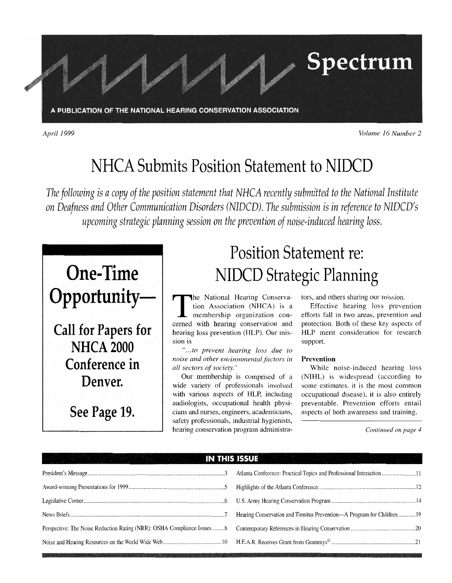Spectrum A PUBLICATION OF THE NATIONAL HEARING CONSERVATION ASSOCIATION

April 1999

Volume 16 Number 2

## NHCA Submits Position Statement to NIDCD

The following is a copy of the position statement that NHCA recently submitted to the National Institute on Deafness and Other Communication Disorders (NIDCD). The submission is in reference to NIDCD's upcoming strategic planning session on the prevention of noise-induced hearing loss.



**Call for Papers for NHCA 2000** Conference in Denver.

See Page 19.

# **Position Statement re: NIDCD Strategic Planning**

The National Hearing Conservation Association (NHCA) is a membership organization concerned with hearing conservation and hearing loss prevention (HLP). Our mission is

"...to prevent hearing loss due to noise and other environmental factors in all sectors of society."

Our membership is comprised of a wide variety of professionals involved with various aspects of HLP, including audiologists, occupational health physicians and nurses, engineers, academicians, safety professionals, industrial hygienists, hearing conservation program administrators, and others sharing our mission.

Effective hearing loss prevention efforts fall in two areas, prevention and protection. Both of these key aspects of HLP merit consideration for research support.

#### **Prevention**

While noise-induced hearing loss (NIHL) is widespread (according to some estimates, it is the most common occupational disease), it is also entirely preventable. Prevention efforts entail aspects of both awareness and training.

Continued on page 4

| MARTING AN INDIA DA MARTING ANG PAG-AT TING HIS ISSUE AT A MARTING ANG ANG ANG ANG MANGEMAN ANG ANG A |  |
|-------------------------------------------------------------------------------------------------------|--|
|                                                                                                       |  |
|                                                                                                       |  |
|                                                                                                       |  |
|                                                                                                       |  |
|                                                                                                       |  |
|                                                                                                       |  |